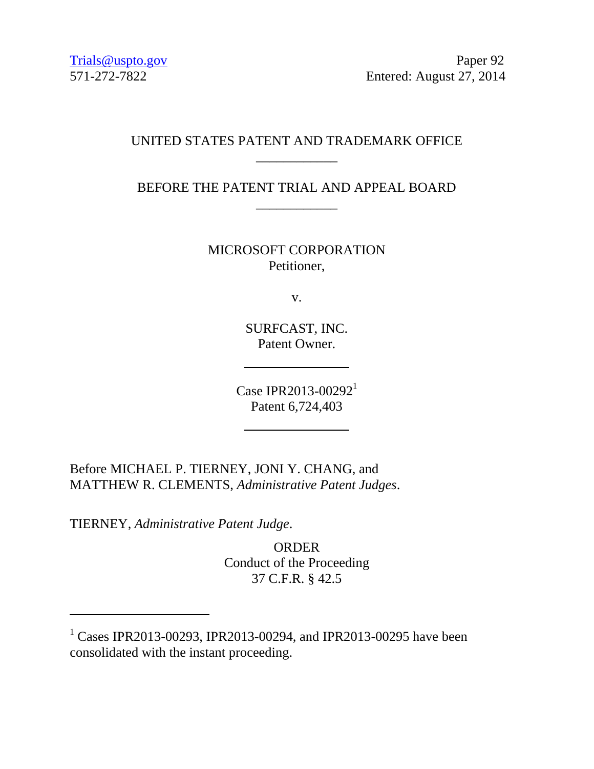Trials@uspto.gov Paper 92 571-272-7822 Entered: August 27, 2014

## UNITED STATES PATENT AND TRADEMARK OFFICE \_\_\_\_\_\_\_\_\_\_\_\_

BEFORE THE PATENT TRIAL AND APPEAL BOARD \_\_\_\_\_\_\_\_\_\_\_\_

> MICROSOFT CORPORATION Petitioner,

> > v.

SURFCAST, INC. Patent Owner.

Case IPR2013-00292<sup>1</sup> Patent 6,724,403

Before MICHAEL P. TIERNEY, JONI Y. CHANG, and MATTHEW R. CLEMENTS, *Administrative Patent Judges*.

TIERNEY, *Administrative Patent Judge*.

l

ORDER Conduct of the Proceeding 37 C.F.R. § 42.5

<sup>&</sup>lt;sup>1</sup> Cases IPR2013-00293, IPR2013-00294, and IPR2013-00295 have been consolidated with the instant proceeding.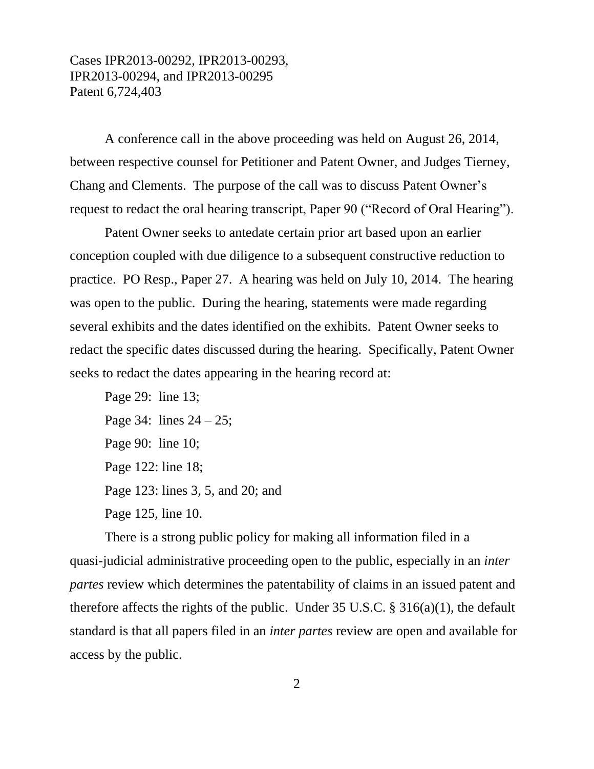## Cases IPR2013-00292, IPR2013-00293, IPR2013-00294, and IPR2013-00295 Patent 6,724,403

A conference call in the above proceeding was held on August 26, 2014, between respective counsel for Petitioner and Patent Owner, and Judges Tierney, Chang and Clements. The purpose of the call was to discuss Patent Owner's request to redact the oral hearing transcript, Paper 90 ("Record of Oral Hearing").

Patent Owner seeks to antedate certain prior art based upon an earlier conception coupled with due diligence to a subsequent constructive reduction to practice. PO Resp., Paper 27. A hearing was held on July 10, 2014. The hearing was open to the public. During the hearing, statements were made regarding several exhibits and the dates identified on the exhibits. Patent Owner seeks to redact the specific dates discussed during the hearing. Specifically, Patent Owner seeks to redact the dates appearing in the hearing record at:

Page 29: line 13; Page 34: lines  $24 - 25$ ; Page 90: line 10; Page 122: line 18; Page 123: lines 3, 5, and 20; and Page 125, line 10.

There is a strong public policy for making all information filed in a quasi-judicial administrative proceeding open to the public, especially in an *inter partes* review which determines the patentability of claims in an issued patent and therefore affects the rights of the public. Under 35 U.S.C. § 316(a)(1), the default standard is that all papers filed in an *inter partes* review are open and available for access by the public.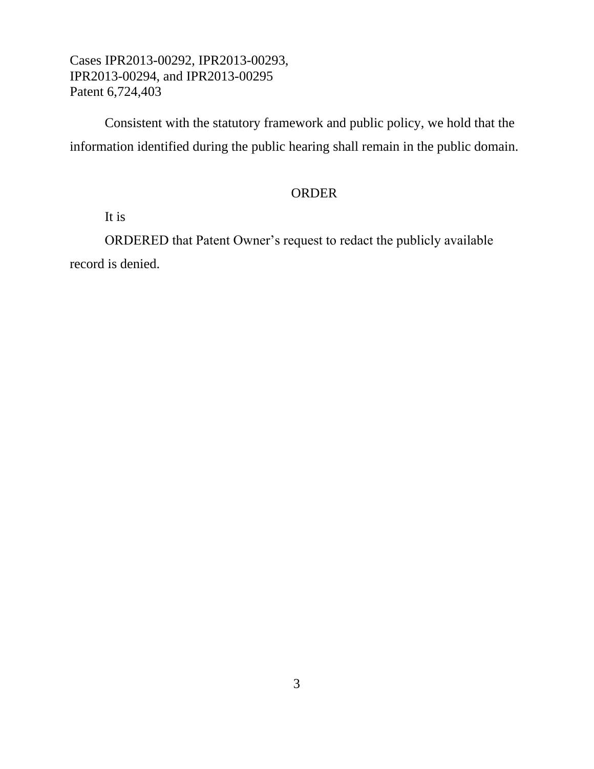Cases IPR2013-00292, IPR2013-00293, IPR2013-00294, and IPR2013-00295 Patent 6,724,403

Consistent with the statutory framework and public policy, we hold that the information identified during the public hearing shall remain in the public domain.

## ORDER

It is

ORDERED that Patent Owner's request to redact the publicly available record is denied.